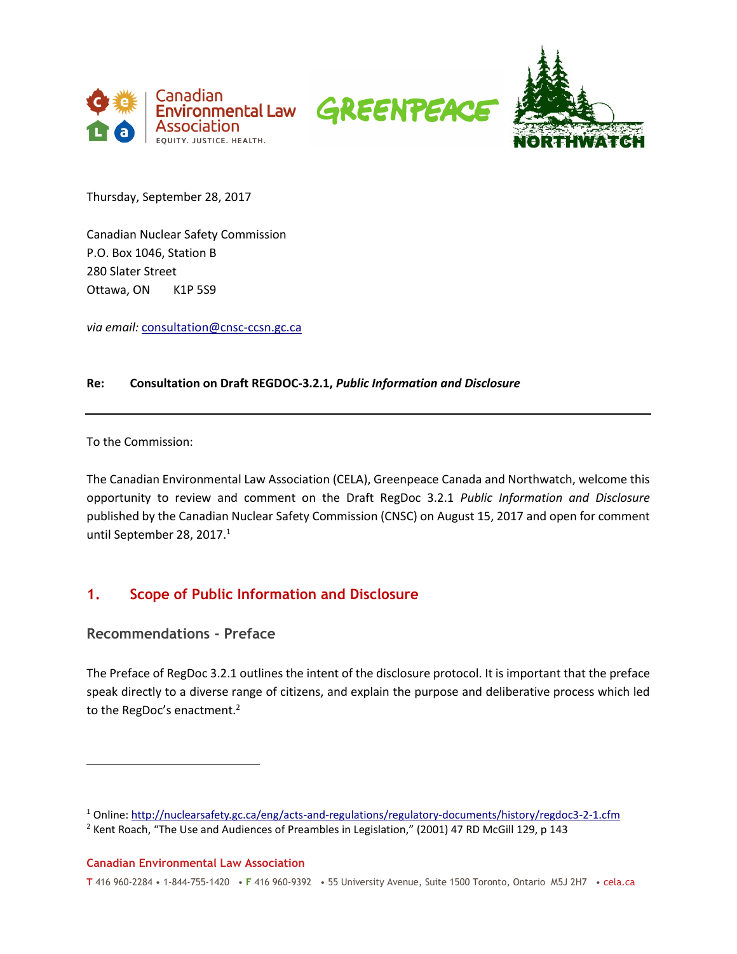





Thursday, September 28, 2017

Canadian Nuclear Safety Commission P.O. Box 1046, Station B 280 Slater Street Ottawa, ON K1P 5S9

*via email:* [consultation@cnsc-ccsn.gc.ca](mailto:consultation@cnsc-ccsn.gc.ca)

#### **Re: Consultation on Draft REGDOC-3.2.1,** *Public Information and Disclosure*

To the Commission:

 $\overline{a}$ 

The Canadian Environmental Law Association (CELA), Greenpeace Canada and Northwatch, welcome this opportunity to review and comment on the Draft RegDoc 3.2.1 *Public Information and Disclosure* published by the Canadian Nuclear Safety Commission (CNSC) on August 15, 2017 and open for comment until September 28, 2017. 1

# **1. Scope of Public Information and Disclosure**

**Recommendations - Preface**

The Preface of RegDoc 3.2.1 outlines the intent of the disclosure protocol. It is important that the preface speak directly to a diverse range of citizens, and explain the purpose and deliberative process which led to the RegDoc's enactment.<sup>2</sup>

**Canadian Environmental Law Association**

<sup>1</sup> Online:<http://nuclearsafety.gc.ca/eng/acts-and-regulations/regulatory-documents/history/regdoc3-2-1.cfm>

<sup>&</sup>lt;sup>2</sup> Kent Roach, "The Use and Audiences of Preambles in Legislation," (2001) 47 RD McGill 129, p 143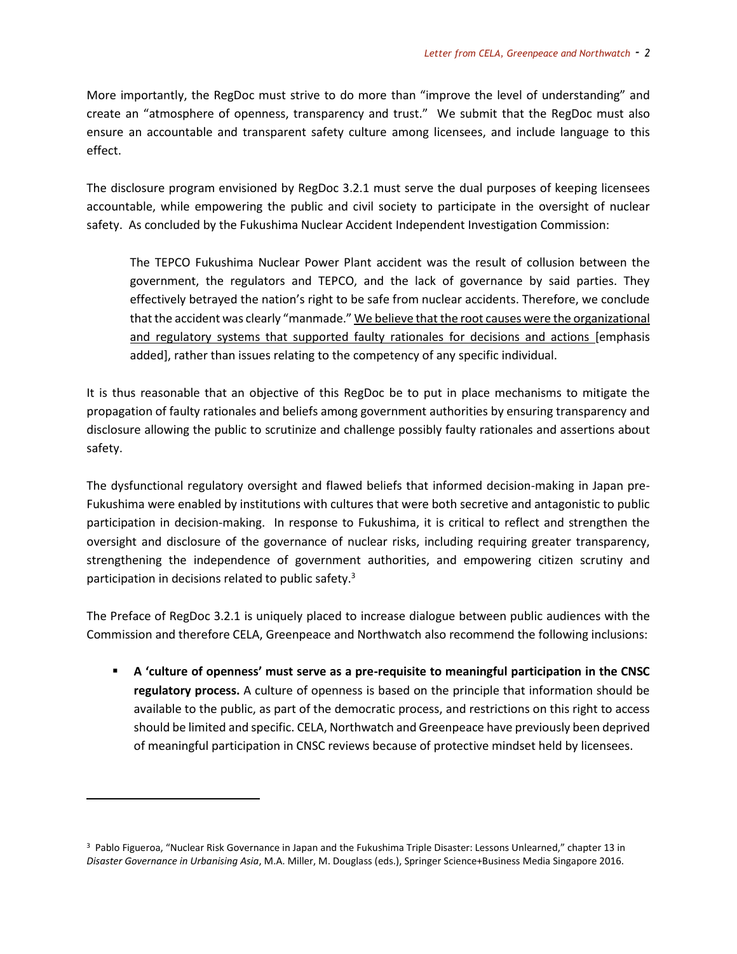More importantly, the RegDoc must strive to do more than "improve the level of understanding" and create an "atmosphere of openness, transparency and trust." We submit that the RegDoc must also ensure an accountable and transparent safety culture among licensees, and include language to this effect.

The disclosure program envisioned by RegDoc 3.2.1 must serve the dual purposes of keeping licensees accountable, while empowering the public and civil society to participate in the oversight of nuclear safety. As concluded by the Fukushima Nuclear Accident Independent Investigation Commission:

The TEPCO Fukushima Nuclear Power Plant accident was the result of collusion between the government, the regulators and TEPCO, and the lack of governance by said parties. They effectively betrayed the nation's right to be safe from nuclear accidents. Therefore, we conclude that the accident was clearly "manmade." We believe that the root causes were the organizational and regulatory systems that supported faulty rationales for decisions and actions [emphasis added], rather than issues relating to the competency of any specific individual.

It is thus reasonable that an objective of this RegDoc be to put in place mechanisms to mitigate the propagation of faulty rationales and beliefs among government authorities by ensuring transparency and disclosure allowing the public to scrutinize and challenge possibly faulty rationales and assertions about safety.

The dysfunctional regulatory oversight and flawed beliefs that informed decision-making in Japan pre-Fukushima were enabled by institutions with cultures that were both secretive and antagonistic to public participation in decision-making. In response to Fukushima, it is critical to reflect and strengthen the oversight and disclosure of the governance of nuclear risks, including requiring greater transparency, strengthening the independence of government authorities, and empowering citizen scrutiny and participation in decisions related to public safety.<sup>3</sup>

The Preface of RegDoc 3.2.1 is uniquely placed to increase dialogue between public audiences with the Commission and therefore CELA, Greenpeace and Northwatch also recommend the following inclusions:

▪ **A 'culture of openness' must serve as a pre-requisite to meaningful participation in the CNSC regulatory process.** A culture of openness is based on the principle that information should be available to the public, as part of the democratic process, and restrictions on this right to access should be limited and specific. CELA, Northwatch and Greenpeace have previously been deprived of meaningful participation in CNSC reviews because of protective mindset held by licensees.

<sup>3</sup> Pablo Figueroa, "Nuclear Risk Governance in Japan and the Fukushima Triple Disaster: Lessons Unlearned," chapter 13 in *Disaster Governance in Urbanising Asia*, M.A. Miller, M. Douglass (eds.), Springer Science+Business Media Singapore 2016.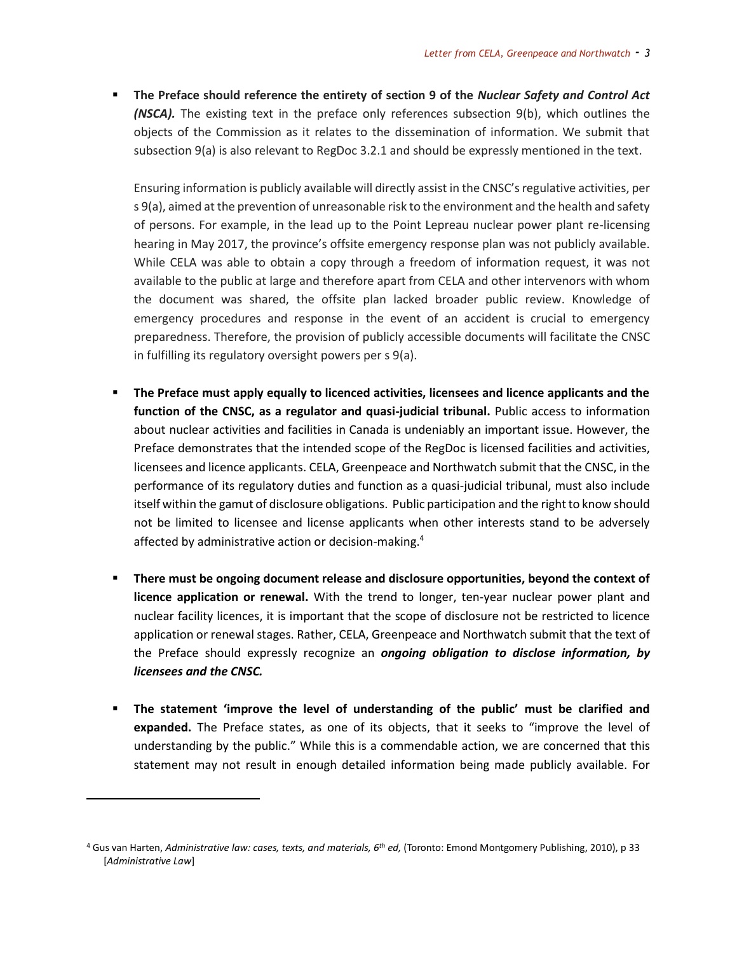■ The Preface should reference the entirety of section 9 of the *Nuclear Safety and Control Act (NSCA).* The existing text in the preface only references subsection 9(b), which outlines the objects of the Commission as it relates to the dissemination of information. We submit that subsection 9(a) is also relevant to RegDoc 3.2.1 and should be expressly mentioned in the text.

Ensuring information is publicly available will directly assist in the CNSC'sregulative activities, per s 9(a), aimed at the prevention of unreasonable risk to the environment and the health and safety of persons. For example, in the lead up to the Point Lepreau nuclear power plant re-licensing hearing in May 2017, the province's offsite emergency response plan was not publicly available. While CELA was able to obtain a copy through a freedom of information request, it was not available to the public at large and therefore apart from CELA and other intervenors with whom the document was shared, the offsite plan lacked broader public review. Knowledge of emergency procedures and response in the event of an accident is crucial to emergency preparedness. Therefore, the provision of publicly accessible documents will facilitate the CNSC in fulfilling its regulatory oversight powers per s 9(a).

- The Preface must apply equally to licenced activities, licensees and licence applicants and the **function of the CNSC, as a regulator and quasi-judicial tribunal.** Public access to information about nuclear activities and facilities in Canada is undeniably an important issue. However, the Preface demonstrates that the intended scope of the RegDoc is licensed facilities and activities, licensees and licence applicants. CELA, Greenpeace and Northwatch submit that the CNSC, in the performance of its regulatory duties and function as a quasi-judicial tribunal, must also include itself within the gamut of disclosure obligations. Public participation and the right to know should not be limited to licensee and license applicants when other interests stand to be adversely affected by administrative action or decision-making.<sup>4</sup>
- **There must be ongoing document release and disclosure opportunities, beyond the context of licence application or renewal.** With the trend to longer, ten-year nuclear power plant and nuclear facility licences, it is important that the scope of disclosure not be restricted to licence application or renewal stages. Rather, CELA, Greenpeace and Northwatch submit that the text of the Preface should expressly recognize an *ongoing obligation to disclose information, by licensees and the CNSC.*
- **The statement 'improve the level of understanding of the public' must be clarified and expanded.** The Preface states, as one of its objects, that it seeks to "improve the level of understanding by the public." While this is a commendable action, we are concerned that this statement may not result in enough detailed information being made publicly available. For

<sup>4</sup> Gus van Harten, *Administrative law: cases, texts, and materials, 6th ed,* (Toronto: Emond Montgomery Publishing, 2010), p 33 [*Administrative Law*]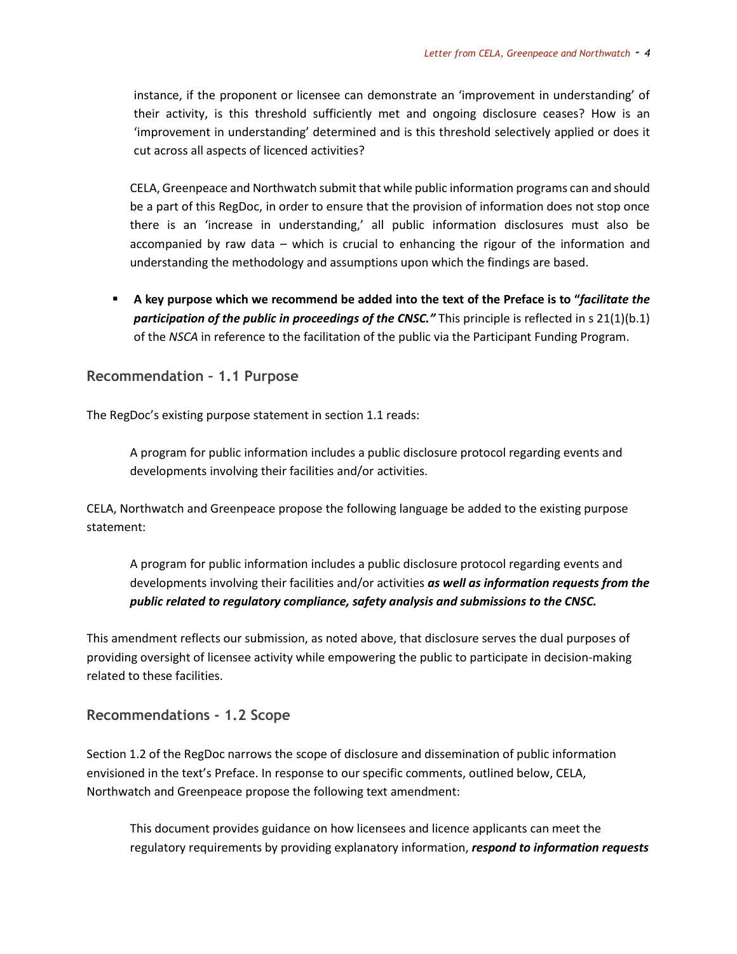instance, if the proponent or licensee can demonstrate an 'improvement in understanding' of their activity, is this threshold sufficiently met and ongoing disclosure ceases? How is an 'improvement in understanding' determined and is this threshold selectively applied or does it cut across all aspects of licenced activities?

CELA, Greenpeace and Northwatch submit that while public information programs can and should be a part of this RegDoc, in order to ensure that the provision of information does not stop once there is an 'increase in understanding,' all public information disclosures must also be accompanied by raw data – which is crucial to enhancing the rigour of the information and understanding the methodology and assumptions upon which the findings are based.

▪ **A key purpose which we recommend be added into the text of the Preface is to "***facilitate the participation of the public in proceedings of the CNSC."* This principle is reflected in s 21(1)(b.1) of the *NSCA* in reference to the facilitation of the public via the Participant Funding Program.

**Recommendation – 1.1 Purpose**

The RegDoc's existing purpose statement in section 1.1 reads:

A program for public information includes a public disclosure protocol regarding events and developments involving their facilities and/or activities.

CELA, Northwatch and Greenpeace propose the following language be added to the existing purpose statement:

A program for public information includes a public disclosure protocol regarding events and developments involving their facilities and/or activities *as well as information requests from the public related to regulatory compliance, safety analysis and submissions to the CNSC.*

This amendment reflects our submission, as noted above, that disclosure serves the dual purposes of providing oversight of licensee activity while empowering the public to participate in decision-making related to these facilities.

**Recommendations - 1.2 Scope**

Section 1.2 of the RegDoc narrows the scope of disclosure and dissemination of public information envisioned in the text's Preface. In response to our specific comments, outlined below, CELA, Northwatch and Greenpeace propose the following text amendment:

This document provides guidance on how licensees and licence applicants can meet the regulatory requirements by providing explanatory information, *respond to information requests*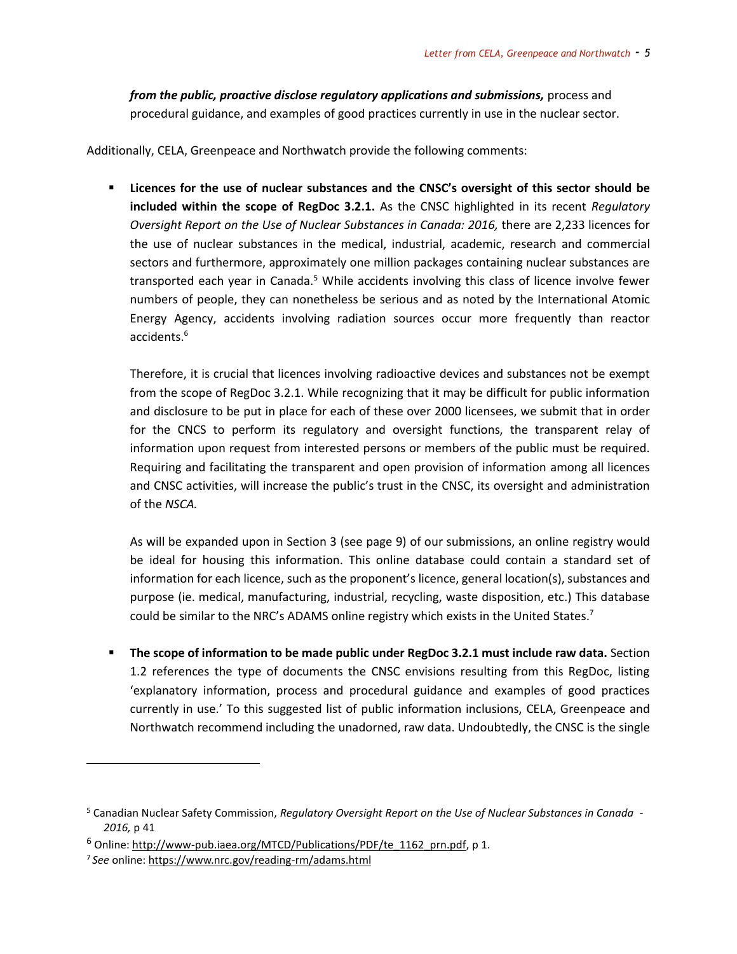*from the public, proactive disclose regulatory applications and submissions, process and* procedural guidance, and examples of good practices currently in use in the nuclear sector.

Additionally, CELA, Greenpeace and Northwatch provide the following comments:

▪ **Licences for the use of nuclear substances and the CNSC's oversight of this sector should be included within the scope of RegDoc 3.2.1.** As the CNSC highlighted in its recent *Regulatory Oversight Report on the Use of Nuclear Substances in Canada: 2016,* there are 2,233 licences for the use of nuclear substances in the medical, industrial, academic, research and commercial sectors and furthermore, approximately one million packages containing nuclear substances are transported each year in Canada.<sup>5</sup> While accidents involving this class of licence involve fewer numbers of people, they can nonetheless be serious and as noted by the International Atomic Energy Agency, accidents involving radiation sources occur more frequently than reactor accidents.<sup>6</sup>

Therefore, it is crucial that licences involving radioactive devices and substances not be exempt from the scope of RegDoc 3.2.1. While recognizing that it may be difficult for public information and disclosure to be put in place for each of these over 2000 licensees, we submit that in order for the CNCS to perform its regulatory and oversight functions, the transparent relay of information upon request from interested persons or members of the public must be required. Requiring and facilitating the transparent and open provision of information among all licences and CNSC activities, will increase the public's trust in the CNSC, its oversight and administration of the *NSCA.*

As will be expanded upon in Section 3 (see page 9) of our submissions, an online registry would be ideal for housing this information. This online database could contain a standard set of information for each licence, such as the proponent's licence, general location(s), substances and purpose (ie. medical, manufacturing, industrial, recycling, waste disposition, etc.) This database could be similar to the NRC's ADAMS online registry which exists in the United States.<sup>7</sup>

▪ **The scope of information to be made public under RegDoc 3.2.1 must include raw data.** Section 1.2 references the type of documents the CNSC envisions resulting from this RegDoc, listing 'explanatory information, process and procedural guidance and examples of good practices currently in use.' To this suggested list of public information inclusions, CELA, Greenpeace and Northwatch recommend including the unadorned, raw data. Undoubtedly, the CNSC is the single

<sup>5</sup> Canadian Nuclear Safety Commission, *Regulatory Oversight Report on the Use of Nuclear Substances in Canada - 2016,* p 41

 $6$  Online: http://www-pub.iaea.org/MTCD/Publications/PDF/te 1162 prn.pdf, p 1.

<sup>7</sup> *See* online[: https://www.nrc.gov/reading-rm/adams.html](https://www.nrc.gov/reading-rm/adams.html)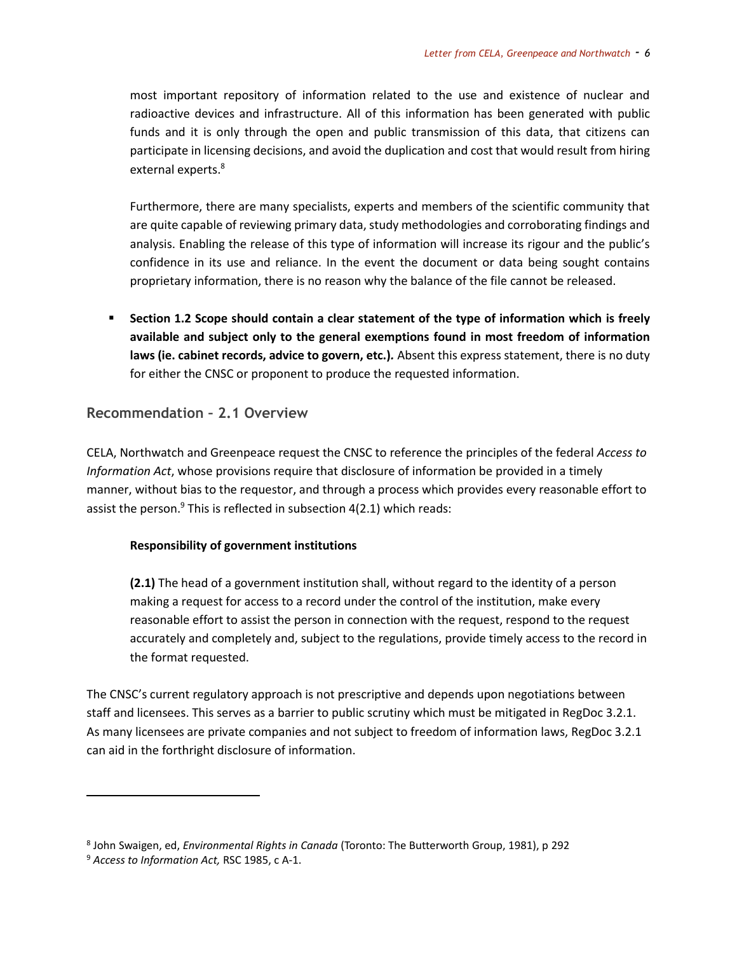most important repository of information related to the use and existence of nuclear and radioactive devices and infrastructure. All of this information has been generated with public funds and it is only through the open and public transmission of this data, that citizens can participate in licensing decisions, and avoid the duplication and cost that would result from hiring external experts.<sup>8</sup>

Furthermore, there are many specialists, experts and members of the scientific community that are quite capable of reviewing primary data, study methodologies and corroborating findings and analysis. Enabling the release of this type of information will increase its rigour and the public's confidence in its use and reliance. In the event the document or data being sought contains proprietary information, there is no reason why the balance of the file cannot be released.

▪ **Section 1.2 Scope should contain a clear statement of the type of information which is freely available and subject only to the general exemptions found in most freedom of information laws (ie. cabinet records, advice to govern, etc.)***.* Absent this express statement, there is no duty for either the CNSC or proponent to produce the requested information.

#### **Recommendation – 2.1 Overview**

CELA, Northwatch and Greenpeace request the CNSC to reference the principles of the federal *Access to Information Act*, whose provisions require that disclosure of information be provided in a timely manner, without bias to the requestor, and through a process which provides every reasonable effort to assist the person.<sup>9</sup> This is reflected in subsection  $4(2.1)$  which reads:

#### **Responsibility of government institutions**

**(2.1)** The head of a government institution shall, without regard to the identity of a person making a request for access to a record under the control of the institution, make every reasonable effort to assist the person in connection with the request, respond to the request accurately and completely and, subject to the regulations, provide timely access to the record in the format requested.

The CNSC's current regulatory approach is not prescriptive and depends upon negotiations between staff and licensees. This serves as a barrier to public scrutiny which must be mitigated in RegDoc 3.2.1. As many licensees are private companies and not subject to freedom of information laws, RegDoc 3.2.1 can aid in the forthright disclosure of information.

<sup>8</sup> John Swaigen, ed, *Environmental Rights in Canada* (Toronto: The Butterworth Group, 1981), p 292

<sup>9</sup> *Access to Information Act,* RSC 1985, c A-1.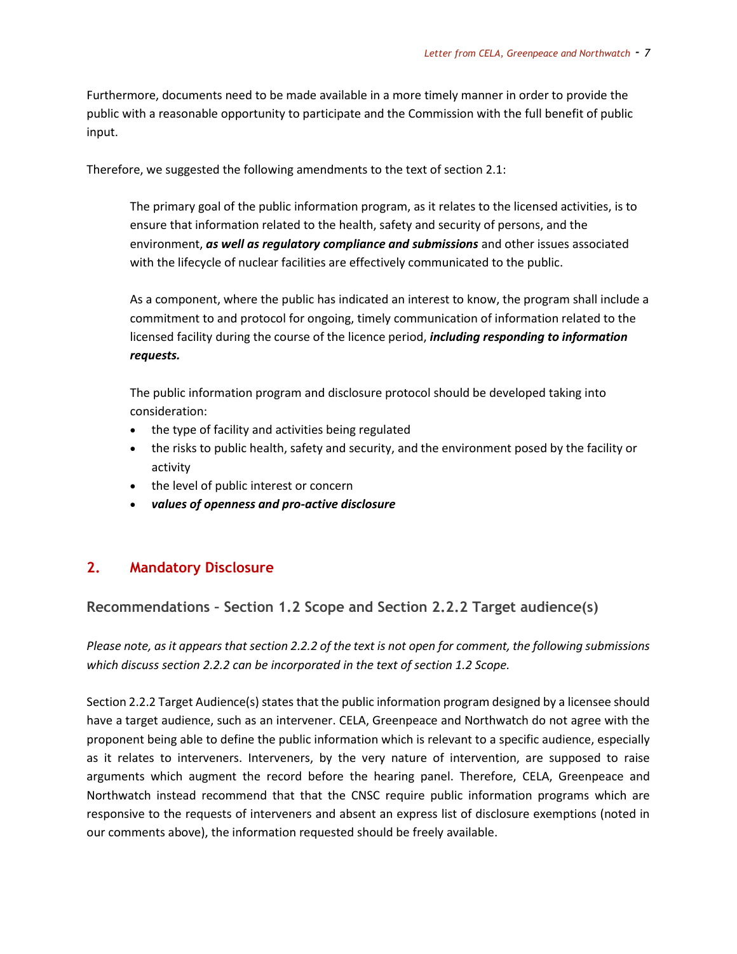Furthermore, documents need to be made available in a more timely manner in order to provide the public with a reasonable opportunity to participate and the Commission with the full benefit of public input.

Therefore, we suggested the following amendments to the text of section 2.1:

The primary goal of the public information program, as it relates to the licensed activities, is to ensure that information related to the health, safety and security of persons, and the environment, *as well as regulatory compliance and submissions* and other issues associated with the lifecycle of nuclear facilities are effectively communicated to the public.

As a component, where the public has indicated an interest to know, the program shall include a commitment to and protocol for ongoing, timely communication of information related to the licensed facility during the course of the licence period, *including responding to information requests.*

The public information program and disclosure protocol should be developed taking into consideration:

- the type of facility and activities being regulated
- the risks to public health, safety and security, and the environment posed by the facility or activity
- the level of public interest or concern
- *values of openness and pro-active disclosure*

### **2. Mandatory Disclosure**

### **Recommendations – Section 1.2 Scope and Section 2.2.2 Target audience(s)**

*Please note, as it appears that section 2.2.2 of the text is not open for comment, the following submissions which discuss section 2.2.2 can be incorporated in the text of section 1.2 Scope.*

Section 2.2.2 Target Audience(s) states that the public information program designed by a licensee should have a target audience, such as an intervener. CELA, Greenpeace and Northwatch do not agree with the proponent being able to define the public information which is relevant to a specific audience, especially as it relates to interveners. Interveners, by the very nature of intervention, are supposed to raise arguments which augment the record before the hearing panel. Therefore, CELA, Greenpeace and Northwatch instead recommend that that the CNSC require public information programs which are responsive to the requests of interveners and absent an express list of disclosure exemptions (noted in our comments above), the information requested should be freely available.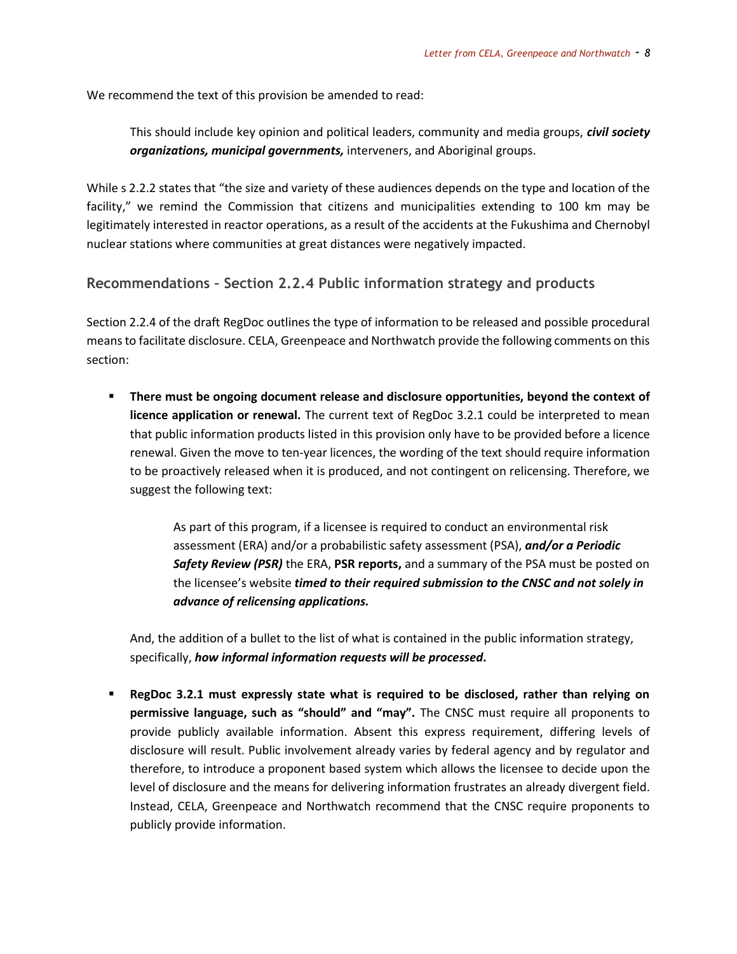We recommend the text of this provision be amended to read:

This should include key opinion and political leaders, community and media groups, *civil society organizations, municipal governments,* interveners, and Aboriginal groups.

While s 2.2.2 states that "the size and variety of these audiences depends on the type and location of the facility," we remind the Commission that citizens and municipalities extending to 100 km may be legitimately interested in reactor operations, as a result of the accidents at the Fukushima and Chernobyl nuclear stations where communities at great distances were negatively impacted.

### **Recommendations – Section 2.2.4 Public information strategy and products**

Section 2.2.4 of the draft RegDoc outlines the type of information to be released and possible procedural means to facilitate disclosure. CELA, Greenpeace and Northwatch provide the following comments on this section:

**EXECT There must be ongoing document release and disclosure opportunities, beyond the context of licence application or renewal.** The current text of RegDoc 3.2.1 could be interpreted to mean that public information products listed in this provision only have to be provided before a licence renewal. Given the move to ten-year licences, the wording of the text should require information to be proactively released when it is produced, and not contingent on relicensing. Therefore, we suggest the following text:

> As part of this program, if a licensee is required to conduct an environmental risk assessment (ERA) and/or a probabilistic safety assessment (PSA), *and/or a Periodic Safety Review (PSR)* the ERA, **PSR reports,** and a summary of the PSA must be posted on the licensee's website *timed to their required submission to the CNSC and not solely in advance of relicensing applications.*

And, the addition of a bullet to the list of what is contained in the public information strategy, specifically, *how informal information requests will be processed.*

**Example 3.2.1 must expressly state what is required to be disclosed, rather than relying on permissive language, such as "should" and "may".** The CNSC must require all proponents to provide publicly available information. Absent this express requirement, differing levels of disclosure will result. Public involvement already varies by federal agency and by regulator and therefore, to introduce a proponent based system which allows the licensee to decide upon the level of disclosure and the means for delivering information frustrates an already divergent field. Instead, CELA, Greenpeace and Northwatch recommend that the CNSC require proponents to publicly provide information.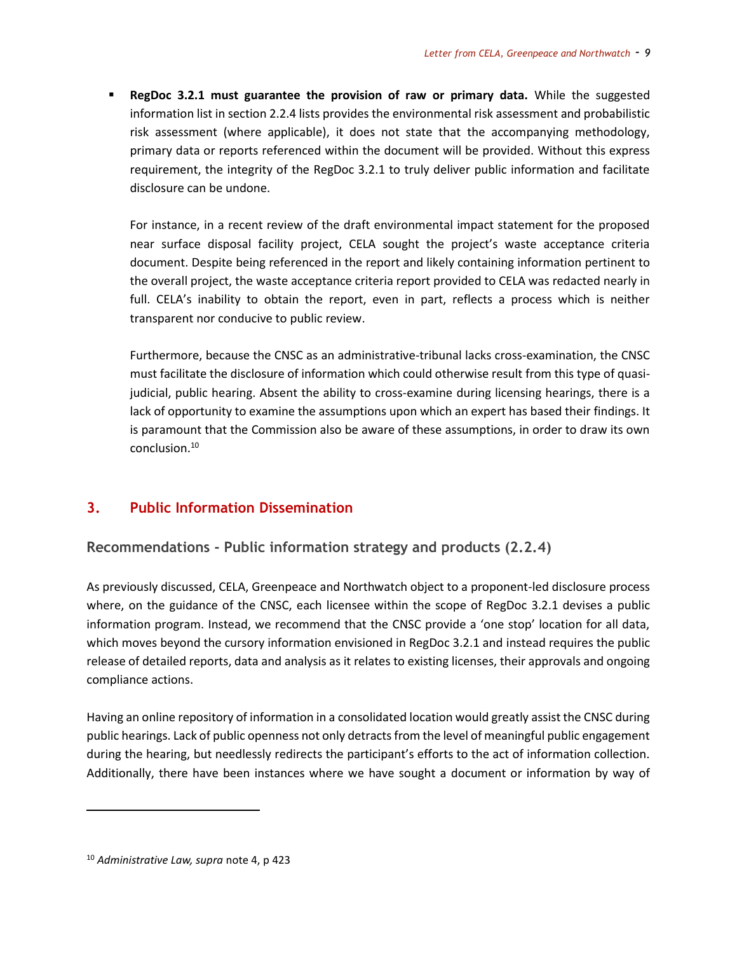▪ **RegDoc 3.2.1 must guarantee the provision of raw or primary data.** While the suggested information list in section 2.2.4 lists provides the environmental risk assessment and probabilistic risk assessment (where applicable), it does not state that the accompanying methodology, primary data or reports referenced within the document will be provided. Without this express requirement, the integrity of the RegDoc 3.2.1 to truly deliver public information and facilitate disclosure can be undone.

For instance, in a recent review of the draft environmental impact statement for the proposed near surface disposal facility project, CELA sought the project's waste acceptance criteria document. Despite being referenced in the report and likely containing information pertinent to the overall project, the waste acceptance criteria report provided to CELA was redacted nearly in full. CELA's inability to obtain the report, even in part, reflects a process which is neither transparent nor conducive to public review.

Furthermore, because the CNSC as an administrative-tribunal lacks cross-examination, the CNSC must facilitate the disclosure of information which could otherwise result from this type of quasijudicial, public hearing. Absent the ability to cross-examine during licensing hearings, there is a lack of opportunity to examine the assumptions upon which an expert has based their findings. It is paramount that the Commission also be aware of these assumptions, in order to draw its own conclusion.<sup>10</sup>

# **3. Public Information Dissemination**

**Recommendations - Public information strategy and products (2.2.4)**

As previously discussed, CELA, Greenpeace and Northwatch object to a proponent-led disclosure process where, on the guidance of the CNSC, each licensee within the scope of RegDoc 3.2.1 devises a public information program. Instead, we recommend that the CNSC provide a 'one stop' location for all data, which moves beyond the cursory information envisioned in RegDoc 3.2.1 and instead requires the public release of detailed reports, data and analysis as it relates to existing licenses, their approvals and ongoing compliance actions.

Having an online repository of information in a consolidated location would greatly assist the CNSC during public hearings. Lack of public openness not only detracts from the level of meaningful public engagement during the hearing, but needlessly redirects the participant's efforts to the act of information collection. Additionally, there have been instances where we have sought a document or information by way of

<sup>10</sup> *Administrative Law, supra* note 4, p 423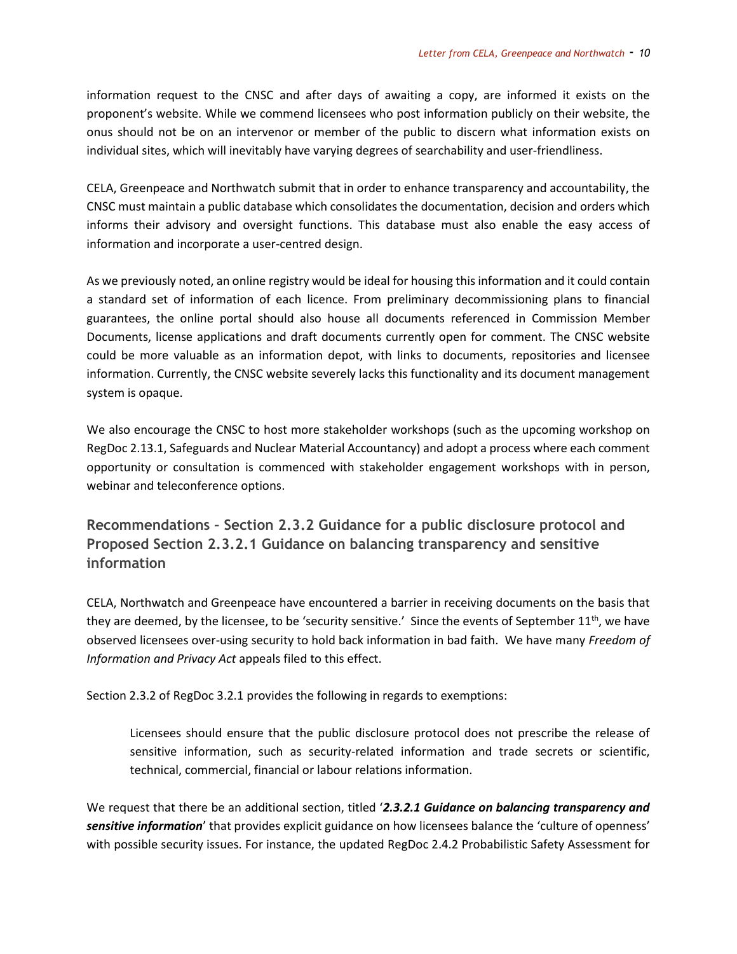information request to the CNSC and after days of awaiting a copy, are informed it exists on the proponent's website. While we commend licensees who post information publicly on their website, the onus should not be on an intervenor or member of the public to discern what information exists on individual sites, which will inevitably have varying degrees of searchability and user-friendliness.

CELA, Greenpeace and Northwatch submit that in order to enhance transparency and accountability, the CNSC must maintain a public database which consolidates the documentation, decision and orders which informs their advisory and oversight functions. This database must also enable the easy access of information and incorporate a user-centred design.

As we previously noted, an online registry would be ideal for housing this information and it could contain a standard set of information of each licence. From preliminary decommissioning plans to financial guarantees, the online portal should also house all documents referenced in Commission Member Documents, license applications and draft documents currently open for comment. The CNSC website could be more valuable as an information depot, with links to documents, repositories and licensee information. Currently, the CNSC website severely lacks this functionality and its document management system is opaque.

We also encourage the CNSC to host more stakeholder workshops (such as the upcoming workshop on RegDoc 2.13.1, Safeguards and Nuclear Material Accountancy) and adopt a process where each comment opportunity or consultation is commenced with stakeholder engagement workshops with in person, webinar and teleconference options.

**Recommendations – Section 2.3.2 Guidance for a public disclosure protocol and Proposed Section 2.3.2.1 Guidance on balancing transparency and sensitive information**

CELA, Northwatch and Greenpeace have encountered a barrier in receiving documents on the basis that they are deemed, by the licensee, to be 'security sensitive.' Since the events of September 11<sup>th</sup>, we have observed licensees over-using security to hold back information in bad faith. We have many *Freedom of Information and Privacy Act* appeals filed to this effect.

Section 2.3.2 of RegDoc 3.2.1 provides the following in regards to exemptions:

Licensees should ensure that the public disclosure protocol does not prescribe the release of sensitive information, such as security-related information and trade secrets or scientific, technical, commercial, financial or labour relations information.

We request that there be an additional section, titled '2.3.2.1 Guidance on balancing transparency and *sensitive information*' that provides explicit guidance on how licensees balance the 'culture of openness' with possible security issues. For instance, the updated RegDoc 2.4.2 Probabilistic Safety Assessment for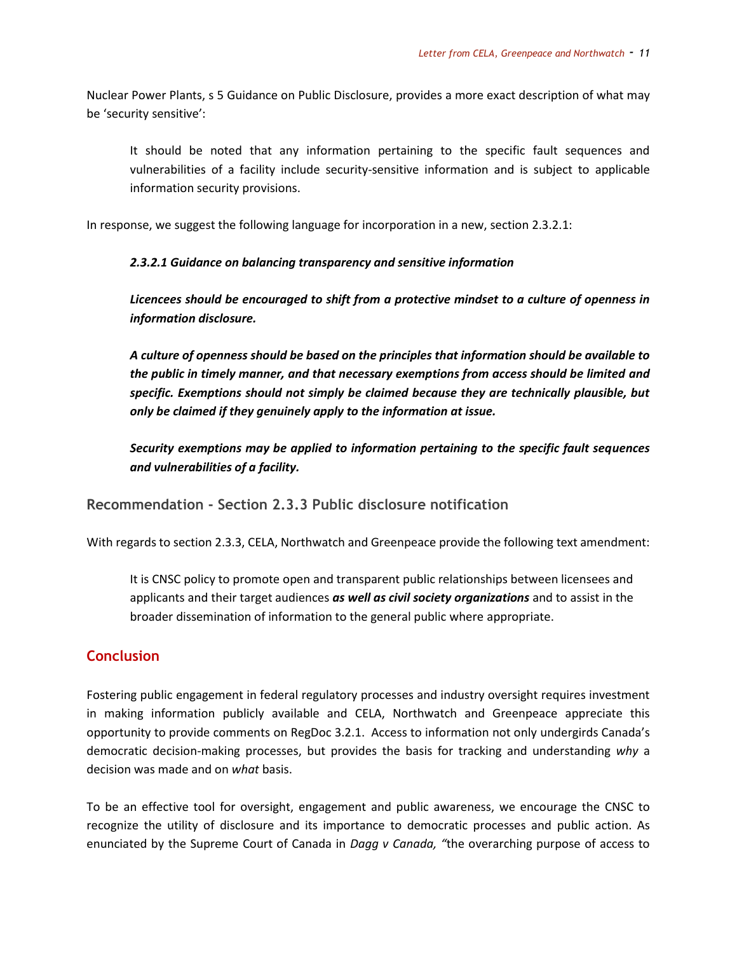Nuclear Power Plants, s 5 Guidance on Public Disclosure, provides a more exact description of what may be 'security sensitive':

It should be noted that any information pertaining to the specific fault sequences and vulnerabilities of a facility include security-sensitive information and is subject to applicable information security provisions.

In response, we suggest the following language for incorporation in a new, section 2.3.2.1:

*2.3.2.1 Guidance on balancing transparency and sensitive information*

*Licencees should be encouraged to shift from a protective mindset to a culture of openness in information disclosure.* 

*A culture of openness should be based on the principles that information should be available to the public in timely manner, and that necessary exemptions from access should be limited and specific. Exemptions should not simply be claimed because they are technically plausible, but only be claimed if they genuinely apply to the information at issue.* 

*Security exemptions may be applied to information pertaining to the specific fault sequences and vulnerabilities of a facility.*

**Recommendation - Section 2.3.3 Public disclosure notification**

With regards to section 2.3.3, CELA, Northwatch and Greenpeace provide the following text amendment:

It is CNSC policy to promote open and transparent public relationships between licensees and applicants and their target audiences *as well as civil society organizations* and to assist in the broader dissemination of information to the general public where appropriate.

# **Conclusion**

Fostering public engagement in federal regulatory processes and industry oversight requires investment in making information publicly available and CELA, Northwatch and Greenpeace appreciate this opportunity to provide comments on RegDoc 3.2.1. Access to information not only undergirds Canada's democratic decision-making processes, but provides the basis for tracking and understanding *why* a decision was made and on *what* basis.

To be an effective tool for oversight, engagement and public awareness, we encourage the CNSC to recognize the utility of disclosure and its importance to democratic processes and public action. As enunciated by the Supreme Court of Canada in *Dagg v Canada, "*the overarching purpose of access to